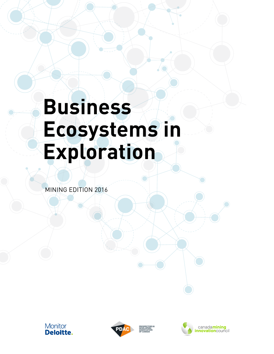# **Business Ecosystems in Exploration**

MINING EDITION 2016







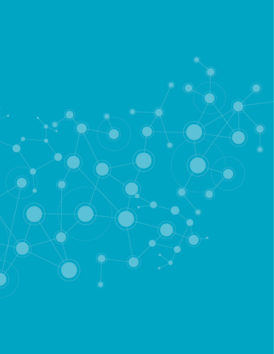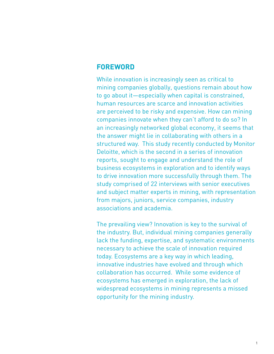### **FOREWORD**

While innovation is increasingly seen as critical to mining companies globally, questions remain about how to go about it—especially when capital is constrained, human resources are scarce and innovation activities are perceived to be risky and expensive. How can mining companies innovate when they can't afford to do so? In an increasingly networked global economy, it seems that the answer might lie in collaborating with others in a structured way. This study recently conducted by Monitor Deloitte, which is the second in a series of innovation reports, sought to engage and understand the role of business ecosystems in exploration and to identify ways to drive innovation more successfully through them. The study comprised of 22 interviews with senior executives and subject matter experts in mining, with representation from majors, juniors, service companies, industry associations and academia.

The prevailing view? Innovation is key to the survival of the industry. But, individual mining companies generally lack the funding, expertise, and systematic environments necessary to achieve the scale of innovation required today. Ecosystems are a key way in which leading, innovative industries have evolved and through which collaboration has occurred. While some evidence of ecosystems has emerged in exploration, the lack of widespread ecosystems in mining represents a missed opportunity for the mining industry.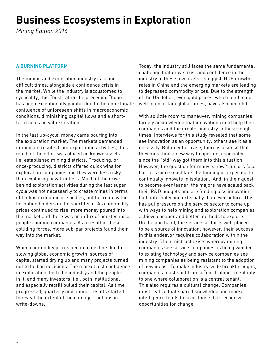## **Business Ecosystems in Exploration**

*Mining Edition 2016*

#### **A BURNING PLATFORM**

The mining and exploration industry is facing difficult times, alongside a confidence crisis in the market. While the industry is accustomed to cyclicality, this "bust" after the preceding "boom" has been exceptionally painful due to the unfortunate confluence of unforeseen shifts in macroeconomic conditions, diminishing capital flows and a shortterm focus on value creation.

In the last up-cycle, money came pouring into the exploration market. The markets demanded immediate results from exploration activities, thus much of the effort was placed on known assets i.e. established mining districts. Producing, or once-producing, districts offered quick wins for exploration companies and they were less risky than exploring new frontiers. Much of the drive behind exploration activities during the last super cycle was not necessarily to create mines in terms of finding economic ore bodies, but to create value for option holders in the short term. As commodity prices continued to rise, more money poured into the market and there was an influx of non-technical people running companies. As a result of these colliding forces, more sub-par projects found their way into the market.

When commodity prices began to decline due to slowing global economic growth, sources of capital started drying up and many projects turned out to be bad decisions. The market lost confidence in exploration, both the industry and the people in it, and many investors (i.e., both institutional and especially retail) pulled their capital. As time progressed, quarterly and annual results started to reveal the extent of the damage—billions in write-downs.

Today, the industry still faces the same fundamental challenge that drove trust and confidence in the industry to these low levels—sluggish GDP growth rates in China and the emerging markets are leading to depressed commodity prices. Due to the strength of the US dollar, even gold prices, which tend to do well in uncertain global times, have also been hit.

With so little room to maneuver, mining companies largely acknowledge that innovation could help their companies and the greater industry in these tough times. Interviews for this study revealed that some see innovation as an opportunity; others see it as a necessity. But in either case, there is a sense that they must find a new way to operate, especially since the "old" way got them into this situation. However, the question for many is how? Juniors face barriers since most lack the funding or expertise to continually innovate in isolation. And, in their quest to become ever leaner, the majors have scaled back their R&D budgets and are funding less innovation both internally and externally than ever before. This has put pressure on the service sector to come up with ways to help mining and exploration companies achieve cheaper and better methods to explore. On the one hand, the service sector is well placed to be a source of innovation; however, their success in this endeavor requires collaboration within the industry. Often mistrust exists whereby mining companies see service companies as being wedded to existing technology and service companies see mining companies as being resistant to the adoption of new ideas. To make industry-wide breakthroughs, companies must shift from a "go-it-alone" mentality to one where collaboration is a central tenant. This also requires a cultural change. Companies must realize that shared knowledge and market intelligence tends to favor those that recognize opportunities for change.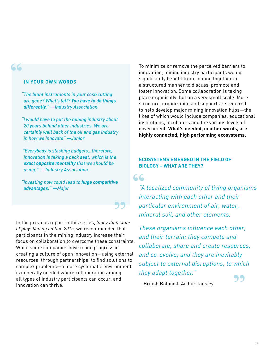#### **IN YOUR OWN WORDS**

66

 $differently. *"* -*Industry Association*$ *"The blunt instruments in your cost-cutting are gone? What's left? You have to do things* 

 *— in how we innovate" Junior "I would have to put the mining industry about 20 years behind other industries. We are certainly well back of the oil and gas industry* 

 *— using." Industry Association "Everybody is slashing budgets…therefore, innovation is taking a back seat, which is the exact opposite mentality that we should be* 

*— advantages." Major "Investing now could lead to huge competitive* 

In the previous report in this series, *Innovation state of play: Mining edition 2015,* we recommended that participants in the mining industry increase their focus on collaboration to overcome these constraints. While some companies have made progress in creating a culture of open innovation—using external resources (through partnerships) to find solutions to complex problems—a more systematic environment is generally needed where collaboration among all types of industry participants can occur, and innovation can thrive.

To minimize or remove the perceived barriers to innovation, mining industry participants would significantly benefit from coming together in a structured manner to discuss, promote and foster innovation. Some collaboration is taking place organically, but on a very small scale. More structure, organization and support are required to help develop major mining innovation hubs—the likes of which would include companies, educational institutions, incubators and the various levels of government. **What's needed, in other words, are highly connected, high performing ecosystems.** 

#### **ECOSYSTEMS EMERGED IN THE FIELD OF BIOLOGY – WHAT ARE THEY?**

 $66$ 

*"A localized community of living organisms interacting with each other and their particular environment of air, water, mineral soil, and other elements.* 

*These organisms influence each other, and their terrain; they compete and collaborate, share and create resources, and co-evolve; and they are inevitably subject to external disruptions, to which they adapt together."*  99

- British Botanist, Arthur Tansley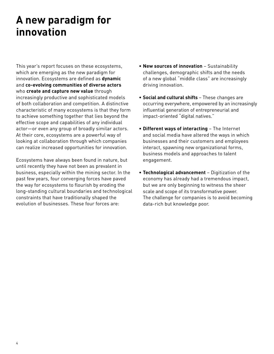## **A new paradigm for innovation**

This year's report focuses on these ecosystems, which are emerging as the new paradigm for innovation. Ecosystems are defined as **dynamic**  and **co-evolving communities of diverse actors** who **create and capture new value** through increasingly productive and sophisticated models of both collaboration and competition. A distinctive characteristic of many ecosystems is that they form to achieve something together that lies beyond the effective scope and capabilities of any individual actor—or even any group of broadly similar actors. At their core, ecosystems are a powerful way of looking at collaboration through which companies can realize increased opportunities for innovation.

Ecosystems have always been found in nature, but until recently they have not been as prevalent in business, especially within the mining sector. In the past few years, four converging forces have paved the way for ecosystems to flourish by eroding the long-standing cultural boundaries and technological constraints that have traditionally shaped the evolution of businesses. These four forces are:

- **New sources of innovation** Sustainability challenges, demographic shifts and the needs of a new global "middle class" are increasingly driving innovation.
- **Social and cultural shifts** These changes are occurring everywhere, empowered by an increasingly influential generation of entrepreneurial and impact-oriented "digital natives."
- **Different ways of interacting** The Internet and social media have altered the ways in which businesses and their customers and employees interact, spawning new organizational forms, business models and approaches to talent engagement.
- **Technological advancement** Digitization of the economy has already had a tremendous impact, but we are only beginning to witness the sheer scale and scope of its transformative power. The challenge for companies is to avoid becoming data-rich but knowledge poor.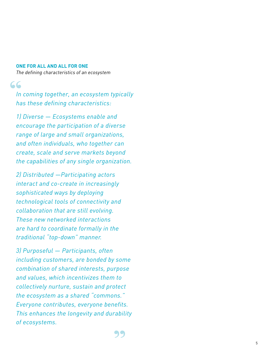#### **ONE FOR ALL AND ALL FOR ONE**

*The defining characteristics of an ecosystem* 

66

*In coming together, an ecosystem typically has these defining characteristics:* 

*1) Diverse — Ecosystems enable and encourage the participation of a diverse range of large and small organizations, and often individuals, who together can create, scale and serve markets beyond the capabilities of any single organization.* 

*2) Distributed —Participating actors interact and co-create in increasingly sophisticated ways by deploying technological tools of connectivity and collaboration that are still evolving. These new networked interactions are hard to coordinate formally in the traditional "top-down" manner.* 

*3) Purposeful — Participants, often including customers, are bonded by some combination of shared interests, purpose and values, which incentivizes them to collectively nurture, sustain and protect the ecosystem as a shared "commons." Everyone contributes, everyone benefits. This enhances the longevity and durability of ecosystems.*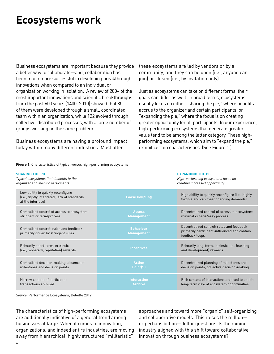### **Ecosystems work**

Business ecosystems are important because they provide a better way to collaborate—and, collaboration has been much more successful in developing breakthrough innovations when compared to an individual or organization working in isolation. A review of 200+ of the most important innovations and scientific breakthroughs from the past 600 years (1400–2010) showed that 85 of them were developed through a small, coordinated team within an organization, while 122 evolved through collective, distributed processes, with a large number of groups working on the same problem.

Business ecosystems are having a profound impact today within many different industries. Most often

these ecosystems are led by vendors or by a community, and they can be open (i.e., anyone can join) or closed (i.e., by invitation only).

Just as ecosystems can take on different forms, their goals can differ as well. In broad terms, ecosystems usually focus on either "sharing the pie," where benefits accrue to the organizer and certain participants, or "expanding the pie," where the focus is on creating greater opportunity for all participants. In our experience, high-performing ecosystems that generate greater value tend to be among the latter category. These highperforming ecosystems, which aim to "expand the pie," exhibit certain characteristics. (See Figure 1.)

| Typical ecosystems limit benefits to the<br>organizer and specific participants                         |                                       | High-performing ecosystems focus on -<br>creating increased opportunity                                     |
|---------------------------------------------------------------------------------------------------------|---------------------------------------|-------------------------------------------------------------------------------------------------------------|
| Low ability to quickly reconfigure<br>(i.e., tightly integrated, lack of standards<br>at the interface) | <b>Loose Coupling</b>                 | High ability to quickly reconfigure (i.e., highly<br>flexible and can meet changing demands)                |
| Centralized control of access to ecosystem;<br>stringent criteria/process                               | <b>Access</b><br><b>Management</b>    | Decentralized control of access to ecosystem;<br>minimal criteria/easy process                              |
| Centralized control; rules and feedback<br>primarily driven by stringent rules                          | <b>Behaviour</b><br><b>Management</b> | Decentralized control; rules and feedback<br>primarily participant-influenced and contain<br>feedback loops |
| Primarily short-term, extrinsic<br>(i.e., monetary, reputation) rewards                                 | <b>Incentives</b>                     | Primarily long-term, intrinsic (i.e., learning<br>and development) rewards                                  |
| Centralized decision-making, absence of<br>milestones and decision points                               | <b>Action</b><br>Point(S)             | Decentralized planning of milestones and<br>decision points, collective decision-making                     |
| Narrow content of participant<br>transactions archived                                                  | <b>Interaction</b><br><b>Archive</b>  | Rich content of interactions archived to enable<br>long-term view of ecosystem opportunities                |

**Figure 1.** Characteristics of typical versus high-performing ecosystems.

*Source:* Performance Ecosystems, Deloitte 2012.

The characteristics of high-performing ecosystems are additionally indicative of a general trend among businesses at large. When it comes to innovating, organizations, and indeed entire industries, are moving away from hierarchical, highly structured "militaristic"

approaches and toward more "organic" self-organizing and collaborative models. This raises the million or perhaps billion—dollar question: "Is the mining industry aligned with this shift toward collaborative innovation through business ecosystems?"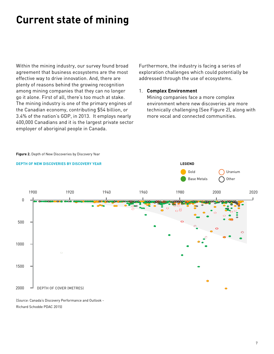### **Current state of mining**

Within the mining industry, our survey found broad agreement that business ecosystems are the most effective way to drive innovation. And, there are plenty of reasons behind the growing recognition among mining companies that they can no longer go it alone. First of all, there's too much at stake. The mining industry is one of the primary engines of the Canadian economy, contributing \$54 billion, or 3.4% of the nation's GDP, in 2013. It employs nearly 400,000 Canadians and it is the largest private sector employer of aboriginal people in Canada.

**Figure 2.** Depth of New Discoveries by Discovery Year

Furthermore, the industry is facing a series of exploration challenges which could potentially be addressed through the use of ecosystems.

#### 1. **Complex Environment**

Mining companies face a more complex environment where new discoveries are more technically challenging (See Figure 2), along with more vocal and connected communities.



Richard Schodde PDAC 2015)

7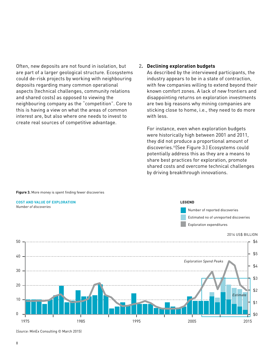Often, new deposits are not found in isolation, but are part of a larger geological structure. Ecosystems could de-risk projects by working with neighbouring deposits regarding many common operational aspects (technical challenges, community relations and shared costs) as opposed to viewing the neighbouring company as the "competition". Core to this is having a view on what the areas of common interest are, but also where one needs to invest to create real sources of competitive advantage.

#### 2**. Declining exploration budgets**

As described by the interviewed participants, the industry appears to be in a state of contraction, with few companies willing to extend beyond their known comfort zones. A lack of new frontiers and disappointing returns on exploration investments are two big reasons why mining companies are sticking close to home, i.e., they need to do more with less.

For instance, even when exploration budgets were historically high between 2001 and 2011, they did not produce a proportional amount of discoveries.<sup>iii</sup>(See Figure 3.) Ecosystems could potentially address this as they are a means to share best practices for exploration, promote shared costs and overcome technical challenges by driving breakthrough innovations.



#### **Figure 3.** More money is spent finding fewer discoveries

(*Source:* MinEx Consulting © March 2015)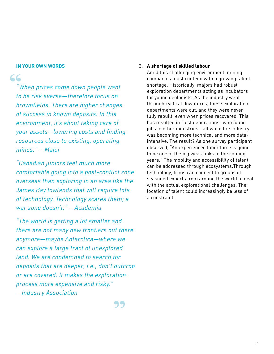#### **IN YOUR OWN WORDS**

66

*"When prices come down people want to be risk averse—therefore focus on brownfields. There are higher changes of success in known deposits. In this environment, it's about taking care of your assets—lowering costs and finding resources close to existing, operating*  mines." — Major

*"Canadian juniors feel much more comfortable going into a post-conflict zone overseas than exploring in an area like the James Bay lowlands that will require lots of technology. Technology scares them; a war zone doesn't." Academia —*

*"The world is getting a lot smaller and there are not many new frontiers out there anymore—maybe Antarctica—where we can explore a large tract of unexplored land. We are condemned to search for deposits that are deeper, i.e., don't outcrop or are covered. It makes the exploration process more expensive and risky."*   $-$ *Industry Association* 

99

#### 3. **A shortage of skilled labour**

Amid this challenging environment, mining companies must contend with a growing talent shortage. Historically, majors had robust exploration departments acting as incubators for young geologists. As the industry went through cyclical downturns, these exploration departments were cut, and they were never fully rebuilt, even when prices recovered. This has resulted in "lost generations" who found jobs in other industries—all while the industry was becoming more technical and more dataintensive. The result? As one survey participant observed, "An experienced labor force is going to be one of the big weak links in the coming years." The mobility and accessibility of talent can be addressed through ecosystems.Through technology, firms can connect to groups of seasoned experts from around the world to deal with the actual explorational challenges. The location of talent could increasingly be less of a constraint.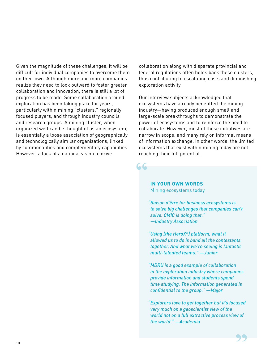Given the magnitude of these challenges, it will be difficult for individual companies to overcome them on their own. Although more and more companies realize they need to look outward to foster greater collaboration and innovation, there is still a lot of progress to be made. Some collaboration around exploration has been taking place for years, particularly within mining "clusters," regionally focused players, and through industry councils and research groups. A mining cluster, when organized well can be thought of as an ecosystem, is essentially a loose association of geographically and technologically similar organizations, linked by commonalities and complementary capabilities. However, a lack of a national vision to drive

collaboration along with disparate provincial and federal regulations often holds back these clusters, thus contributing to escalating costs and diminishing exploration activity.

Our interview subjects acknowledged that ecosystems have already benefitted the mining industry—having produced enough small and large-scale breakthroughs to demonstrate the power of ecosystems and to reinforce the need to collaborate. However, most of these initiatives are narrow in scope, and many rely on informal means of information exchange. In other words, the limited ecosystems that exist within mining today are not reaching their full potential.

#### **IN YOUR OWN WORDS**  Mining ecosystems today

 $66$ 

*"Raison d'être for business ecosystems is to solve big challenges that companies can't solve. CMIC is doing that."*   $-$ *Industry Association* 

*"Using [the HeroX®] platform, what it allowed us to do is band all the contestants together. And what we're seeing is fantastic multi-talented teams." Junior —*

*"MDRU is a good example of collaboration in the exploration industry where companies provide information and students spend time studying. The information generated is confidential to the group." Major —*

*"Explorers love to get together but it's focused very much on a geoscientist view of the world not on a full extractive process view of the world." Academia —*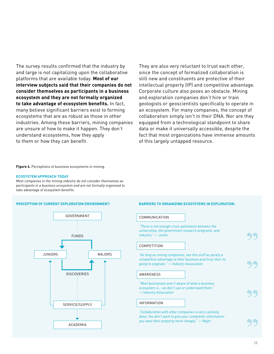The survey results confirmed that the industry by and large is not capitalizing upon the collaborative platforms that are available today. **Most of our interview subjects said that their companies do not consider themselves as participants in a business ecosystem and they are not formally organized to take advantage of ecosystem benefits.** In fact, many believe significant barriers exist to forming ecosystems that are as robust as those in other industries. Among these barriers, mining companies are unsure of how to make it happen. They don't understand ecosystems, how they apply to them or how they can benefit.

They are also very reluctant to trust each other, since the concept of formalized collaboration is still new and constituents are protective of their intellectual property (IP) and competitive advantage. Corporate culture also poses an obstacle. Mining and exploration companies don't hire or train geologists or geoscientists specifically to operate in an ecosystem. For many companies, the concept of collaboration simply isn't in their DNA. Nor are they equipped from a technological standpoint to share data or make it universally accessible, despite the fact that most organizations have immense amounts of this largely untapped resource.

**Figure 4.** Perceptions of business ecosystems in mining.

#### **ECOSYSTEM APPROACH TODAY**

*Most companies in the mining industry do not consider themselves as participants in a business ecosystem and are not formally organized to take advantage of ecosystem benefits* 

#### **PERCEPTION OF CURRENT EXPLORATION ENVIRONMENT: BARRIERS TO ORGANIZING ECOSYSTEMS IN EXPLORATION:**



#### COMMUNICATION

 *— industry." Junior "There is not enough cross-pollination between the universities, the government research programs, and* 

#### **COMPETITION**

 *— going to stagnate." Industry Association "As long as mining companies, see this stuff as purely a competitive advantage to their business practices then its* 

#### AWARENESS

*— Industry Association "Most businesses aren't aware of what a business ecosystem is… we don't use or understand them."* 

#### INFORMATION

 *— you want their property more cheaply." Major "Collaboration with other companies is very carefully done, You don't want to give your competitor information -*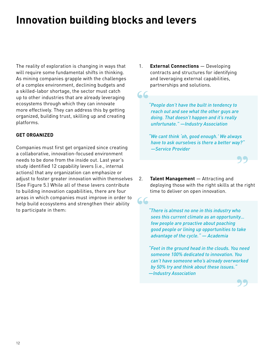## **Innovation building blocks and levers**

The reality of exploration is changing in ways that will require some fundamental shifts in thinking. As mining companies grapple with the challenges of a complex environment, declining budgets and a skilled-labor shortage, the sector must catch up to other industries that are already leveraging ecosystems through which they can innovate more effectively. They can address this by getting organized, building trust, skilling up and creating platforms.

#### **GET ORGANIZED**

Companies must first get organized since creating a collaborative, innovation-focused environment needs to be done from the inside out. Last year's study identified 12 capability levers (i.e., internal actions) that any organization can emphasize or adjust to foster greater innovation within themselves (See Figure 5.) While all of these levers contribute to building innovation capabilities, there are four areas in which companies must improve in order to help build ecosystems and strengthen their ability to participate in them:

1. **External Connections** — Developing contracts and structures for identifying and leveraging external capabilities, partnerships and solutions.

66

66

*unfortunate." - Industry Association "People don't have the built in tendency to reach out and see what the other guys are doing. That doesn't happen and it's really* 

*— Service Provider "We cant think 'oh, good enough.' We always have to ask ourselves is there a better way?"* 



2. **Talent Management** — Attracting and deploying those with the right skills at the right time to deliver on open innovation.

*— advantage of the cycle." Academia "There is almost no one in this industry who sees this current climate as an opportunity… few people are proactive about poaching good people or lining up opportunities to take* 

*— Industry Association"Feet in the ground head in the clouds. You need someone 100% dedicated to innovation. You can't have someone who's already overworked by 50% try and think about these issues."*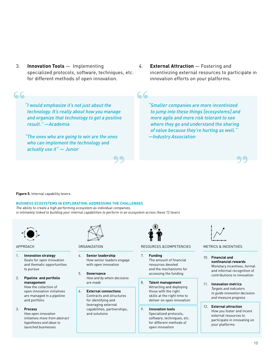3. **Innovation Tools** — Implementing specialized protocols, software, techniques, etc. for different methods of open innovation.

*"I would emphasize it's not just about the technology. It's really about how you manage and organize that technology to get a positive* 

*"The ones who are going to win are the ones who can implement the technology and* 

4. **External Attraction** — Fostering and incentivizing external resources to participate in innovation efforts on your platforms.

### 66

*— Industry Association "Smaller companies are more incentivized to jump into these things [ecosystems] and more agile and more risk tolerant to see where they go and understand the sharing of value because they're hurting as well."* 

**Figure 5.** Internal capability levers.

 *— result." Academia* 

 $66$ 

 *— actually use it" Junior* 

#### **BUSINESS ECOSYSTEMS IN EXPLORATION: ADDRESSING THE CHALLENGES**

*The ability to create a high performing ecosystem as individual companies, is intimately linked to building your internal capabilities to perform in an ecosystem across these 12 levers* 



- 1. **Innovation strategy**  Goals for open innovation and thematic opportunities to pursue
- 2. **Pipeline and portfolio management**  How the collection of

open innovation initiatives are managed in a pipeline and portfolio

3. **Process** 

*How open innovation initiatives move from abstract hypotheses and ideas to launched businesses* 



- 4. **Senior leadership**  How senior leaders engage with open innovation
- 5. **Governance**  *How and by whom decisions are made*
- 6. **External connections**  Contracts and structures for identifying and leveraging external capabilities, partnerships, and solutions



#### APPROACH ORGANIZATION CRESOURCES &COMPETENCIES METRICS & INCENTIVES

- 7. **Funding**  The amount of financial resources devoted and the mechanisms for accessing the funding
- 8. **Talent management**  Attracting and deploying those with the right skills at the right time to deliver on open innovation
- 9. **Innovation tools**  Specialized protocols, software, techniques, etc. for different methods of open innovation



- 10. **Financial and nonfinancial rewards**  Monetary incentives, formal and informal recognition of contributions to innovation
- 11. **Innovation metrics**  *Targets and indicators to guide innovation decisions and measure progress*
- 12. **External attraction**  How you foster and incent external resources to participate in innovating on your platforms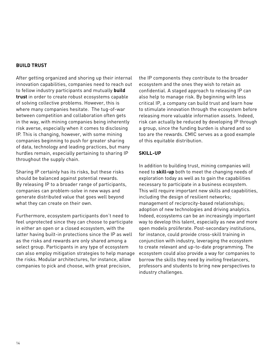#### **BUILD TRUST**

After getting organized and shoring up their internal innovation capabilities, companies need to reach out to fellow industry participants and mutually **build trust** in order to create robust ecosystems capable of solving collective problems. However, this is where many companies hesitate. The tug-of-war between competition and collaboration often gets in the way, with mining companies being inherently risk averse, especially when it comes to disclosing IP. This is changing, however, with some mining companies beginning to push for greater sharing of data, technology and leading practices, but many hurdles remain, especially pertaining to sharing IP throughout the supply chain.

Sharing IP certainly has its risks, but these risks should be balanced against potential rewards. By releasing IP to a broader range of participants, companies can problem-solve in new ways and generate distributed value that goes well beyond what they can create on their own.

Furthermore, ecosystem participants don't need to feel unprotected since they can choose to participate in either an open or a closed ecosystem, with the latter having built-in protections since the IP as well as the risks and rewards are only shared among a select group. Participants in any type of ecosystem can also employ mitigation strategies to help manage the risks. Modular architectures, for instance, allow companies to pick and choose, with great precision,

the IP components they contribute to the broader ecosystem and the ones they wish to retain as confidential. A staged approach to releasing IP can also help to manage risk. By beginning with less critical IP, a company can build trust and learn how to stimulate innovation through the ecosystem before releasing more valuable information assets. Indeed, risk can actually be reduced by developing IP through a group, since the funding burden is shared and so too are the rewards. CMIC serves as a good example of this equitable distribution.

#### **SKILL-UP**

In addition to building trust, mining companies will need to **skill-up** both to meet the changing needs of exploration today as well as to gain the capabilities necessary to participate in a business ecosystem. This will require important new skills and capabilities, including the design of resilient networks; management of reciprocity-based relationships; adoption of new technologies and driving analytics. Indeed, ecosystems can be an increasingly important way to develop this talent, especially as new and more open models proliferate. Post-secondary institutions, for instance, could provide cross-skill training in conjunction with industry, leveraging the ecosystem to create relevant and up-to-date programming. The ecosystem could also provide a way for companies to borrow the skills they need by inviting freelancers, professors and students to bring new perspectives to industry challenges.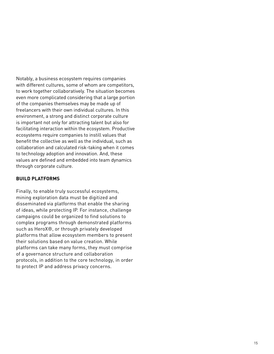Notably, a business ecosystem requires companies with different cultures, some of whom are competitors, to work together collaboratively. The situation becomes even more complicated considering that a large portion of the companies themselves may be made up of freelancers with their own individual cultures. In this environment, a strong and distinct corporate culture is important not only for attracting talent but also for facilitating interaction within the ecosystem. Productive ecosystems require companies to instill values that benefit the collective as well as the individual, such as collaboration and calculated risk-taking when it comes to technology adoption and innovation. And, these values are defined and embedded into team dynamics through corporate culture.

#### **BUILD PLATFORMS**

Finally, to enable truly successful ecosystems, mining exploration data must be digitized and disseminated via platforms that enable the sharing of ideas, while protecting IP. For instance, challenge campaigns could be organized to find solutions to complex programs through demonstrated platforms such as HeroX®, or through privately developed platforms that allow ecosystem members to present their solutions based on value creation. While platforms can take many forms, they must comprise of a governance structure and collaboration protocols, in addition to the core technology, in order to protect IP and address privacy concerns.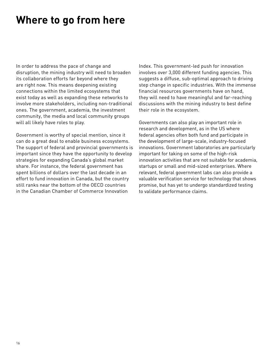### **Where to go from here**

In order to address the pace of change and disruption, the mining industry will need to broaden its collaboration efforts far beyond where they are right now. This means deepening existing connections within the limited ecosystems that exist today as well as expanding these networks to involve more stakeholders, including non-traditional ones. The government, academia, the investment community, the media and local community groups will all likely have roles to play.

Government is worthy of special mention, since it can do a great deal to enable business ecosystems. The support of federal and provincial governments is important since they have the opportunity to develop strategies for expanding Canada's global market share. For instance, the federal government has spent billions of dollars over the last decade in an effort to fund innovation in Canada, but the country still ranks near the bottom of the OECD countries in the Canadian Chamber of Commerce Innovation

Index. This government-led push for innovation involves over 3,000 different funding agencies. This suggests a diffuse, sub-optimal approach to driving step change in specific industries. With the immense financial resources governments have on hand, they will need to have meaningful and far-reaching discussions with the mining industry to best define their role in the ecosystem.

Governments can also play an important role in research and development, as in the US where federal agencies often both fund and participate in the development of large-scale, industry-focused innovations. Government laboratories are particularly important for taking on some of the high-risk innovation activities that are not suitable for academia, startups or small and mid-sized enterprises. Where relevant, federal government labs can also provide a valuable verification service for technology that shows promise, but has yet to undergo standardized testing to validate performance claims.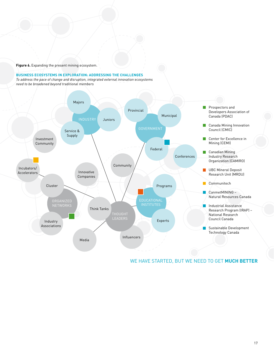**Figure 6.** Expanding the present mining ecosystem.

#### **BUSINESS ECOSYSTEMS IN EXPLORATION: ADDRESSING THE CHALLENGES**

*To address the pace of change and disruption, integrated external innovation ecosystems need to be broadened beyond traditional members*



### WE HAVE STARTED, BUT WE NEED TO GET **MUCH BETTER**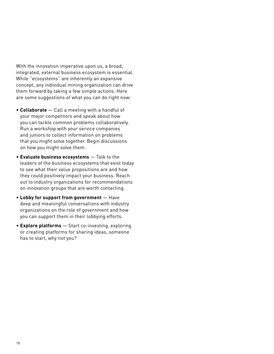With the innovation imperative upon us, a broad, integrated, external business ecosystem is essential. While "ecosystems" are inherently an expansive concept, any individual mining organization can drive them forward by taking a few simple actions. Here are some suggestions of what you can do right now:

- **Collaborate** Call a meeting with a handful of your major competitors and speak about how you can tackle common problems collaboratively. Run a workshop with your service companies and juniors to collect information on problems that you might solve together. Begin discussions on how you might solve them.
- **Evaluate business ecosystems** Talk to the leaders of the business ecosystems that exist today to see what their value propositions are and how they could positively impact your business. Reach out to industry organizations for recommendations on innovation groups that are worth contacting.
- **Lobby for support from government** Have deep and meaningful conversations with industry organizations on the role of government and how you can support them in their lobbying efforts.
- **Explore platforms** Start co-investing, exploring or creating platforms for sharing ideas; someone has to start, why not you?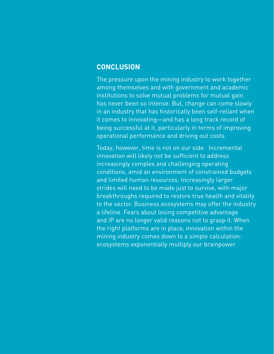### **CONCLUSION**

The pressure upon the mining industry to work together among themselves and with government and academic institutions to solve mutual problems for mutual gain has never been so intense. But, change can come slowly in an industry that has historically been self-reliant when it comes to innovating—and has a long track record of being successful at it, particularly in terms of improving operational performance and driving out costs.

Today, however, time is not on our side. Incremental innovation will likely not be sufficient to address increasingly complex and challenging operating conditions, amid an environment of constrained budgets and limited human resources. Increasingly larger strides will need to be made just to survive, with major breakthroughs required to restore true health and vitality to the sector. Business ecosystems may offer the industry a lifeline. Fears about losing competitive advantage and IP are no longer valid reasons not to grasp it. When the right platforms are in place, innovation within the mining industry comes down to a simple calculation: ecosystems exponentially multiply our brainpower.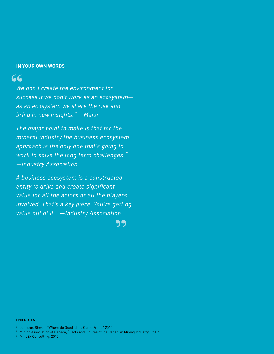#### **IN YOUR OWN WORDS**

66

 *— bring in new insights." Major We don't create the environment for success if we don't work as an ecosystem as an ecosystem we share the risk and* 

*— Industry Association The major point to make is that for the mineral industry the business ecosystem approach is the only one that's going to work to solve the long term challenges."* 

 *— value out of it." Industry Association A business ecosystem is a constructed entity to drive and create significant value for all the actors or all the players involved. That's a key piece. You're getting* 

77

#### **END NOTES**

- <sup>i</sup> Johnson, Steven, "Where do Good Ideas Come From," 2010.<br><sup>ii</sup> Mining Association of Canada, "Facts and Figures of the Canadian Mining Industry," 2014.<br><sup>iii</sup> MineEx Consulting, 2015.
-